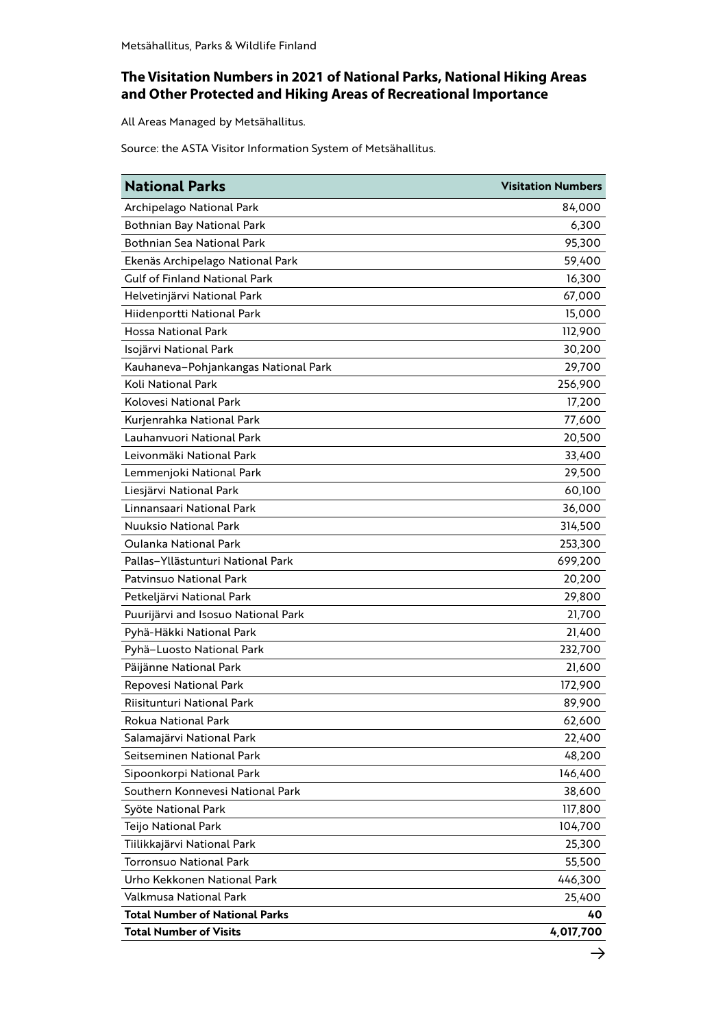## **The Visitation Numbers in 2021 of National Parks, National Hiking Areas and Other Protected and Hiking Areas of Recreational Importance**

All Areas Managed by Metsähallitus.

Source: the ASTA Visitor Information System of Metsähallitus.

| <b>National Parks</b>                 | <b>Visitation Numbers</b> |
|---------------------------------------|---------------------------|
| Archipelago National Park             | 84,000                    |
| Bothnian Bay National Park            | 6,300                     |
| Bothnian Sea National Park            | 95,300                    |
| Ekenäs Archipelago National Park      | 59,400                    |
| <b>Gulf of Finland National Park</b>  | 16,300                    |
| Helvetinjärvi National Park           | 67,000                    |
| Hiidenportti National Park            | 15,000                    |
| <b>Hossa National Park</b>            | 112,900                   |
| Isojärvi National Park                | 30,200                    |
| Kauhaneva-Pohjankangas National Park  | 29,700                    |
| Koli National Park                    | 256,900                   |
| Kolovesi National Park                | 17,200                    |
| Kurjenrahka National Park             | 77,600                    |
| Lauhanvuori National Park             | 20,500                    |
| Leivonmäki National Park              | 33,400                    |
| Lemmenjoki National Park              | 29,500                    |
| Liesjärvi National Park               | 60,100                    |
| Linnansaari National Park             | 36,000                    |
| <b>Nuuksio National Park</b>          | 314,500                   |
| Oulanka National Park                 | 253,300                   |
| Pallas-Yllästunturi National Park     | 699,200                   |
| Patvinsuo National Park               | 20,200                    |
| Petkeljärvi National Park             | 29,800                    |
| Puurijärvi and Isosuo National Park   | 21,700                    |
| Pyhä-Häkki National Park              | 21,400                    |
| Pyhä-Luosto National Park             | 232,700                   |
| Päijänne National Park                | 21,600                    |
| Repovesi National Park                | 172,900                   |
| Riisitunturi National Park            | 89,900                    |
| Rokua National Park                   | 62,600                    |
| Salamajärvi National Park             | 22,400                    |
| Seitseminen National Park             | 48,200                    |
| Sipoonkorpi National Park             | 146,400                   |
| Southern Konnevesi National Park      | 38,600                    |
| Syöte National Park                   | 117,800                   |
| Teijo National Park                   | 104,700                   |
| Tiilikkajärvi National Park           | 25,300                    |
| <b>Torronsuo National Park</b>        | 55,500                    |
| Urho Kekkonen National Park           | 446,300                   |
| Valkmusa National Park                | 25,400                    |
| <b>Total Number of National Parks</b> | 40                        |
| <b>Total Number of Visits</b>         | 4,017,700                 |
|                                       |                           |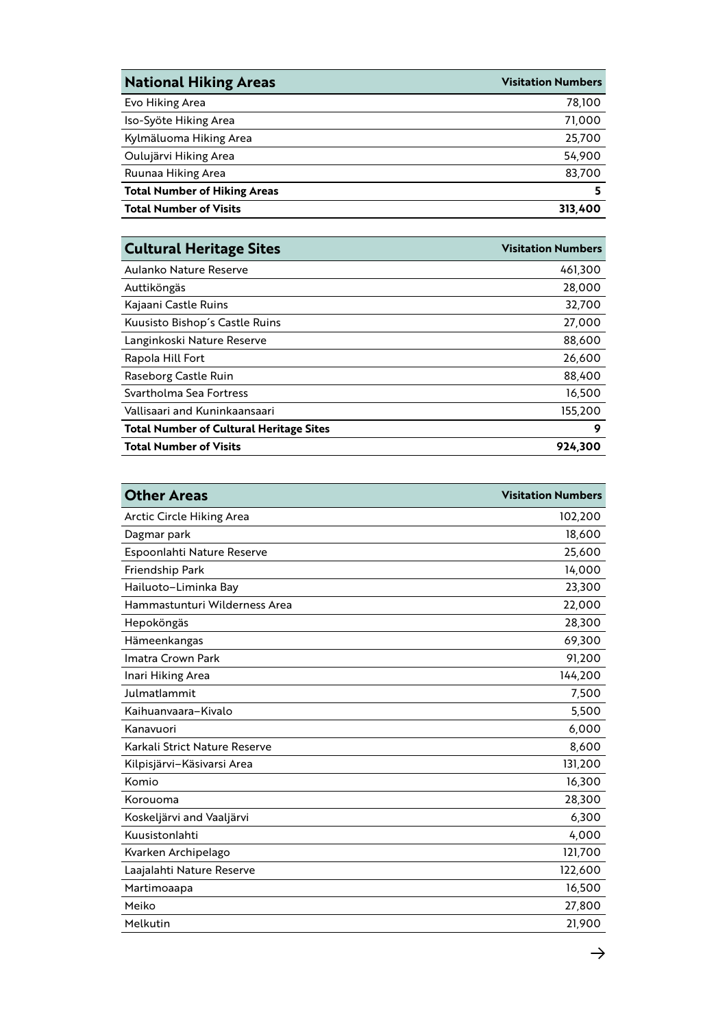| <b>National Hiking Areas</b>        | <b>Visitation Numbers</b> |
|-------------------------------------|---------------------------|
| Evo Hiking Area                     | 78,100                    |
| Iso-Syöte Hiking Area               | 71,000                    |
| Kylmäluoma Hiking Area              | 25,700                    |
| Oulujärvi Hiking Area               | 54,900                    |
| Ruunaa Hiking Area                  | 83,700                    |
| <b>Total Number of Hiking Areas</b> |                           |
| <b>Total Number of Visits</b>       | 313,400                   |

| <b>Visitation Numbers</b> |
|---------------------------|
| 461,300                   |
| 28,000                    |
| 32,700                    |
| 27,000                    |
| 88,600                    |
| 26,600                    |
| 88,400                    |
| 16,500                    |
| 155,200                   |
| 9                         |
| 924,300                   |
|                           |

| <b>Other Areas</b>            | <b>Visitation Numbers</b> |
|-------------------------------|---------------------------|
| Arctic Circle Hiking Area     | 102,200                   |
| Dagmar park                   | 18,600                    |
| Espoonlahti Nature Reserve    | 25,600                    |
| Friendship Park               | 14,000                    |
| Hailuoto-Liminka Bay          | 23,300                    |
| Hammastunturi Wilderness Area | 22,000                    |
| Hepoköngäs                    | 28,300                    |
| Hämeenkangas                  | 69,300                    |
| Imatra Crown Park             | 91,200                    |
| Inari Hiking Area             | 144,200                   |
| Julmatlammit                  | 7,500                     |
| Kaihuanyaara-Kiyalo           | 5,500                     |
| Kanavuori                     | 6,000                     |
| Karkali Strict Nature Reserve | 8,600                     |
| Kilpisjärvi-Käsivarsi Area    | 131,200                   |
| Komio                         | 16,300                    |
| Korouoma                      | 28,300                    |
| Koskeljärvi and Vaaljärvi     | 6,300                     |
| Kuusistonlahti                | 4,000                     |
| Kvarken Archipelago           | 121,700                   |
| Laajalahti Nature Reserve     | 122,600                   |
| Martimoaapa                   | 16,500                    |
| Meiko                         | 27,800                    |
| Melkutin                      | 21,900                    |